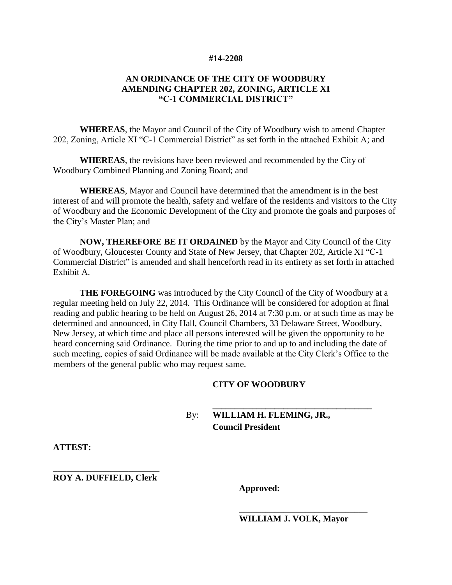#### **#14-2208**

#### **AN ORDINANCE OF THE CITY OF WOODBURY AMENDING CHAPTER 202, ZONING, ARTICLE XI "C-1 COMMERCIAL DISTRICT"**

**WHEREAS**, the Mayor and Council of the City of Woodbury wish to amend Chapter 202, Zoning, Article XI "C-1 Commercial District" as set forth in the attached Exhibit A; and

**WHEREAS**, the revisions have been reviewed and recommended by the City of Woodbury Combined Planning and Zoning Board; and

**WHEREAS**, Mayor and Council have determined that the amendment is in the best interest of and will promote the health, safety and welfare of the residents and visitors to the City of Woodbury and the Economic Development of the City and promote the goals and purposes of the City's Master Plan; and

**NOW, THEREFORE BE IT ORDAINED** by the Mayor and City Council of the City of Woodbury, Gloucester County and State of New Jersey, that Chapter 202, Article XI "C-1 Commercial District" is amended and shall henceforth read in its entirety as set forth in attached Exhibit A.

**THE FOREGOING** was introduced by the City Council of the City of Woodbury at a regular meeting held on July 22, 2014. This Ordinance will be considered for adoption at final reading and public hearing to be held on August 26, 2014 at 7:30 p.m. or at such time as may be determined and announced, in City Hall, Council Chambers, 33 Delaware Street, Woodbury, New Jersey, at which time and place all persons interested will be given the opportunity to be heard concerning said Ordinance. During the time prior to and up to and including the date of such meeting, copies of said Ordinance will be made available at the City Clerk's Office to the members of the general public who may request same.

#### **CITY OF WOODBURY**

### By: **WILLIAM H. FLEMING, JR., Council President**

**ATTEST:**

**\_\_\_\_\_\_\_\_\_\_\_\_\_\_\_\_\_\_\_\_\_\_\_\_ ROY A. DUFFIELD, Clerk**

**Approved:**

**WILLIAM J. VOLK, Mayor**

**\_\_\_\_\_\_\_\_\_\_\_\_\_\_\_\_\_\_\_\_\_\_\_\_\_\_\_\_\_**

**\_\_\_\_\_\_\_\_\_\_\_\_\_\_\_\_\_\_\_\_\_\_\_\_\_\_\_\_\_\_\_\_\_\_\_\_**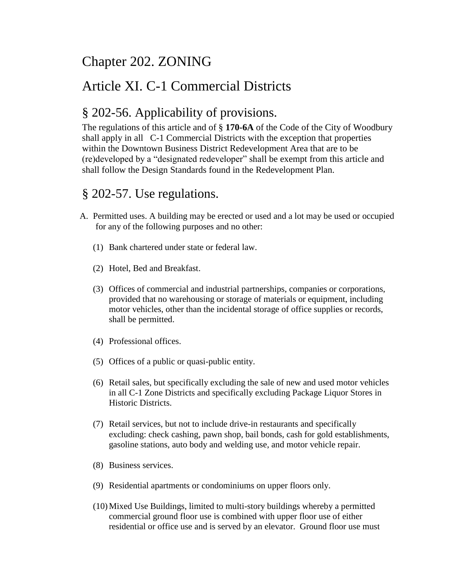# Chapter 202. ZONING

# Article XI. C-1 Commercial Districts

## § 202-56. Applicability of provisions.

The regulations of this article and of § **170-6A** of the Code of the City of Woodbury shall apply in all C-1 Commercial Districts with the exception that properties within the Downtown Business District Redevelopment Area that are to be (re)developed by a "designated redeveloper" shall be exempt from this article and shall follow the Design Standards found in the Redevelopment Plan.

## § 202-57. Use regulations.

- A. Permitted uses. A building may be erected or used and a lot may be used or occupied for any of the following purposes and no other:
	- (1) Bank chartered under state or federal law.
	- (2) Hotel, Bed and Breakfast.
	- (3) Offices of commercial and industrial partnerships, companies or corporations, provided that no warehousing or storage of materials or equipment, including motor vehicles, other than the incidental storage of office supplies or records, shall be permitted.
	- (4) Professional offices.
	- (5) Offices of a public or quasi-public entity.
	- (6) Retail sales, but specifically excluding the sale of new and used motor vehicles in all C-1 Zone Districts and specifically excluding Package Liquor Stores in Historic Districts.
	- (7) Retail services, but not to include drive-in restaurants and specifically excluding: check cashing, pawn shop, bail bonds, cash for gold establishments, gasoline stations, auto body and welding use, and motor vehicle repair.
	- (8) Business services.
	- (9) Residential apartments or condominiums on upper floors only.
	- (10)Mixed Use Buildings, limited to multi-story buildings whereby a permitted commercial ground floor use is combined with upper floor use of either residential or office use and is served by an elevator. Ground floor use must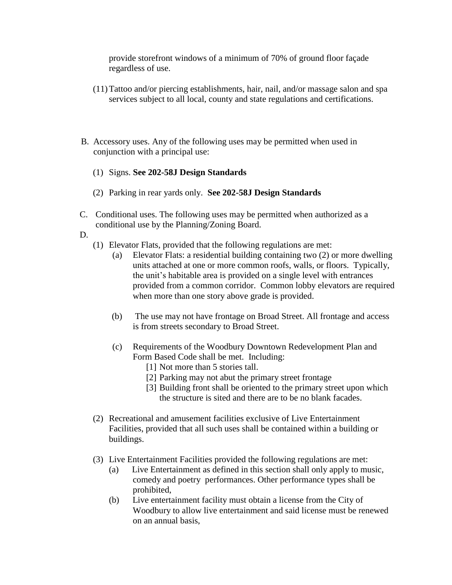provide storefront windows of a minimum of 70% of ground floor façade regardless of use.

- (11)Tattoo and/or piercing establishments, hair, nail, and/or massage salon and spa services subject to all local, county and state regulations and certifications.
- B. Accessory uses. Any of the following uses may be permitted when used in conjunction with a principal use:
	- (1) Signs. **See 202-58J Design Standards**
	- (2) Parking in rear yards only. **See 202-58J Design Standards**
- C. Conditional uses. The following uses may be permitted when authorized as a conditional use by the Planning/Zoning Board.

D.

- (1) Elevator Flats, provided that the following regulations are met:
	- (a) Elevator Flats: a residential building containing two (2) or more dwelling units attached at one or more common roofs, walls, or floors. Typically, the unit's habitable area is provided on a single level with entrances provided from a common corridor. Common lobby elevators are required when more than one story above grade is provided.
	- (b) The use may not have frontage on Broad Street. All frontage and access is from streets secondary to Broad Street.
	- (c) Requirements of the Woodbury Downtown Redevelopment Plan and Form Based Code shall be met. Including:
		- [1] Not more than 5 stories tall.
		- [2] Parking may not abut the primary street frontage
		- [3] Building front shall be oriented to the primary street upon which the structure is sited and there are to be no blank facades.
- (2) Recreational and amusement facilities exclusive of Live Entertainment Facilities, provided that all such uses shall be contained within a building or buildings.
- (3) Live Entertainment Facilities provided the following regulations are met:
	- (a) Live Entertainment as defined in this section shall only apply to music, comedy and poetry performances. Other performance types shall be prohibited,
	- (b) Live entertainment facility must obtain a license from the City of Woodbury to allow live entertainment and said license must be renewed on an annual basis,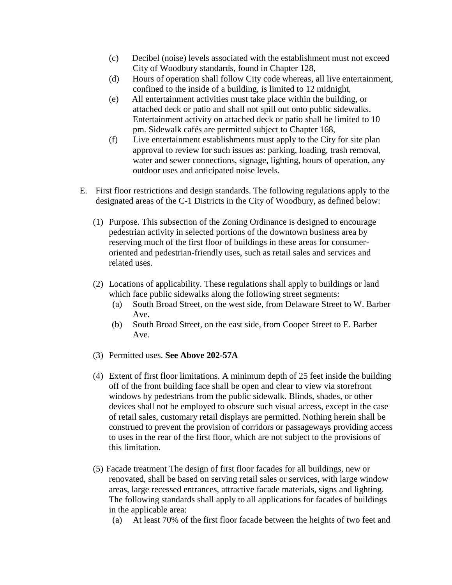- (c) Decibel (noise) levels associated with the establishment must not exceed City of Woodbury standards, found in Chapter 128,
- (d) Hours of operation shall follow City code whereas, all live entertainment, confined to the inside of a building, is limited to 12 midnight,
- (e) All entertainment activities must take place within the building, or attached deck or patio and shall not spill out onto public sidewalks. Entertainment activity on attached deck or patio shall be limited to 10 pm. Sidewalk cafés are permitted subject to Chapter 168,
- (f) Live entertainment establishments must apply to the City for site plan approval to review for such issues as: parking, loading, trash removal, water and sewer connections, signage, lighting, hours of operation, any outdoor uses and anticipated noise levels.
- E. First floor restrictions and design standards. The following regulations apply to the designated areas of the C-1 Districts in the City of Woodbury, as defined below:
	- (1) Purpose. This subsection of the Zoning Ordinance is designed to encourage pedestrian activity in selected portions of the downtown business area by reserving much of the first floor of buildings in these areas for consumeroriented and pedestrian-friendly uses, such as retail sales and services and related uses.
	- (2) Locations of applicability. These regulations shall apply to buildings or land which face public sidewalks along the following street segments:
		- (a) South Broad Street, on the west side, from Delaware Street to W. Barber Ave.
		- (b) South Broad Street, on the east side, from Cooper Street to E. Barber Ave.
	- (3) Permitted uses. **See Above 202-57A**
	- (4) Extent of first floor limitations. A minimum depth of 25 feet inside the building off of the front building face shall be open and clear to view via storefront windows by pedestrians from the public sidewalk. Blinds, shades, or other devices shall not be employed to obscure such visual access, except in the case of retail sales, customary retail displays are permitted. Nothing herein shall be construed to prevent the provision of corridors or passageways providing access to uses in the rear of the first floor, which are not subject to the provisions of this limitation.
	- (5) Facade treatment The design of first floor facades for all buildings, new or renovated, shall be based on serving retail sales or services, with large window areas, large recessed entrances, attractive facade materials, signs and lighting. The following standards shall apply to all applications for facades of buildings in the applicable area:
		- (a) At least 70% of the first floor facade between the heights of two feet and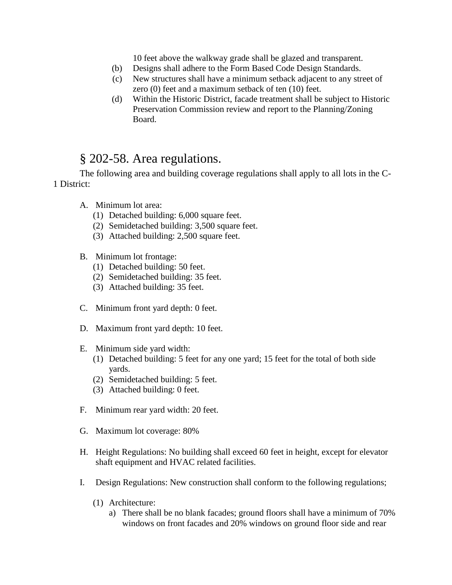10 feet above the walkway grade shall be glazed and transparent.

- (b) Designs shall adhere to the Form Based Code Design Standards.
- (c) New structures shall have a minimum setback adjacent to any street of zero (0) feet and a maximum setback of ten (10) feet.
- (d) Within the Historic District, facade treatment shall be subject to Historic Preservation Commission review and report to the Planning/Zoning Board.

### § 202-58. Area regulations.

The following area and building coverage regulations shall apply to all lots in the C-1 District:

- A. Minimum lot area:
	- (1) Detached building: 6,000 square feet.
	- (2) Semidetached building: 3,500 square feet.
	- (3) Attached building: 2,500 square feet.
- B. Minimum lot frontage:
	- (1) Detached building: 50 feet.
	- (2) Semidetached building: 35 feet.
	- (3) Attached building: 35 feet.
- C. Minimum front yard depth: 0 feet.
- D. Maximum front yard depth: 10 feet.
- E. Minimum side yard width:
	- (1) Detached building: 5 feet for any one yard; 15 feet for the total of both side yards.
	- (2) Semidetached building: 5 feet.
	- (3) Attached building: 0 feet.
- F. Minimum rear yard width: 20 feet.
- G. Maximum lot coverage: 80%
- H. Height Regulations: No building shall exceed 60 feet in height, except for elevator shaft equipment and HVAC related facilities.
- I. Design Regulations: New construction shall conform to the following regulations;
	- (1) Architecture:
		- a) There shall be no blank facades; ground floors shall have a minimum of 70% windows on front facades and 20% windows on ground floor side and rear